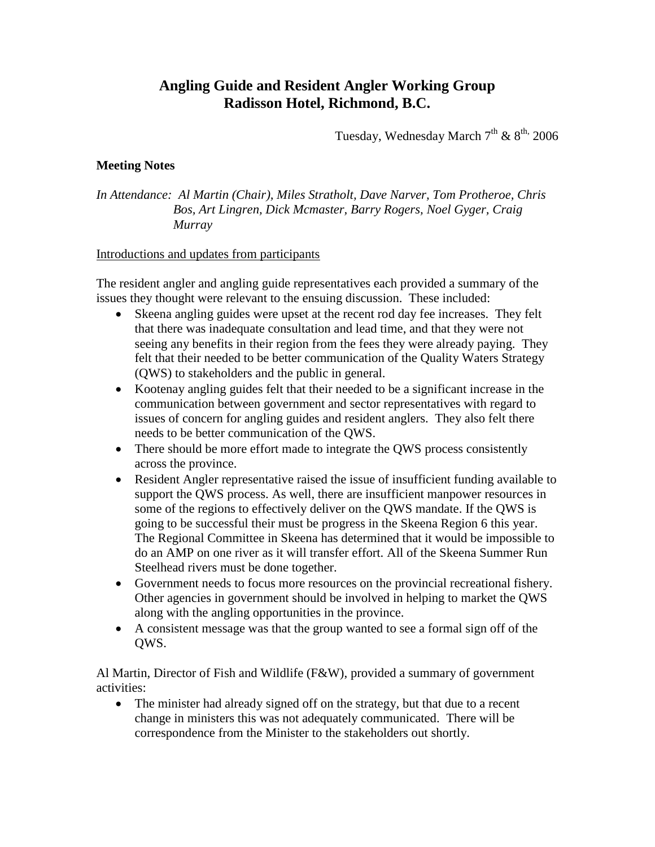## **Angling Guide and Resident Angler Working Group Radisson Hotel, Richmond, B.C.**

Tuesday, Wednesday March  $7<sup>th</sup>$  &  $8<sup>th</sup>$ , 2006

## **Meeting Notes**

*In Attendance: Al Martin (Chair), Miles Stratholt, Dave Narver, Tom Protheroe, Chris Bos, Art Lingren, Dick Mcmaster, Barry Rogers, Noel Gyger, Craig Murray* 

## Introductions and updates from participants

The resident angler and angling guide representatives each provided a summary of the issues they thought were relevant to the ensuing discussion. These included:

- Skeena angling guides were upset at the recent rod day fee increases. They felt that there was inadequate consultation and lead time, and that they were not seeing any benefits in their region from the fees they were already paying. They felt that their needed to be better communication of the Quality Waters Strategy (QWS) to stakeholders and the public in general.
- Kootenay angling guides felt that their needed to be a significant increase in the communication between government and sector representatives with regard to issues of concern for angling guides and resident anglers. They also felt there needs to be better communication of the QWS.
- There should be more effort made to integrate the QWS process consistently across the province.
- Resident Angler representative raised the issue of insufficient funding available to support the QWS process. As well, there are insufficient manpower resources in some of the regions to effectively deliver on the QWS mandate. If the QWS is going to be successful their must be progress in the Skeena Region 6 this year. The Regional Committee in Skeena has determined that it would be impossible to do an AMP on one river as it will transfer effort. All of the Skeena Summer Run Steelhead rivers must be done together.
- Government needs to focus more resources on the provincial recreational fishery. Other agencies in government should be involved in helping to market the QWS along with the angling opportunities in the province.
- A consistent message was that the group wanted to see a formal sign off of the QWS.

Al Martin, Director of Fish and Wildlife (F&W), provided a summary of government activities:

• The minister had already signed off on the strategy, but that due to a recent change in ministers this was not adequately communicated. There will be correspondence from the Minister to the stakeholders out shortly.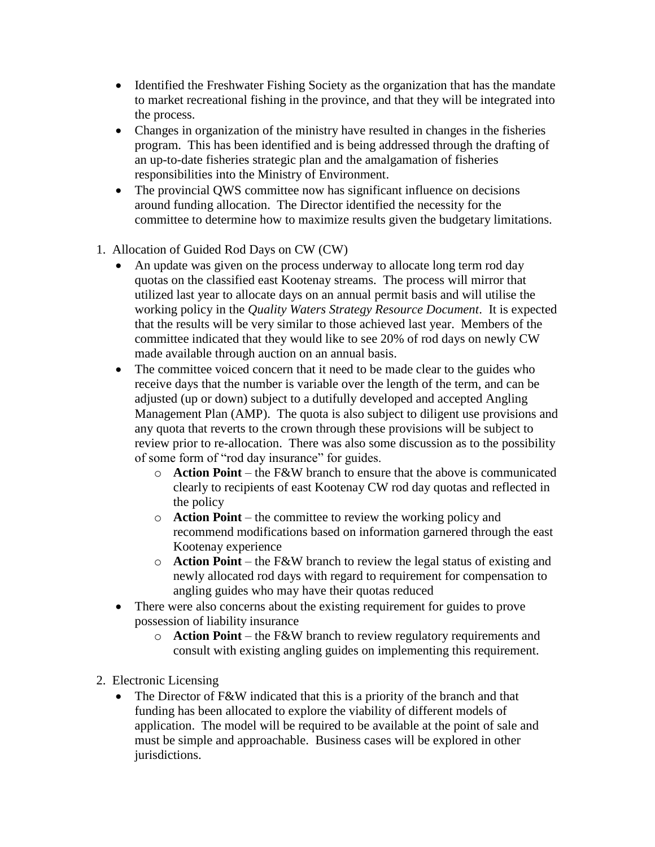- Identified the Freshwater Fishing Society as the organization that has the mandate to market recreational fishing in the province, and that they will be integrated into the process.
- Changes in organization of the ministry have resulted in changes in the fisheries program. This has been identified and is being addressed through the drafting of an up-to-date fisheries strategic plan and the amalgamation of fisheries responsibilities into the Ministry of Environment.
- The provincial QWS committee now has significant influence on decisions around funding allocation. The Director identified the necessity for the committee to determine how to maximize results given the budgetary limitations.
- 1. Allocation of Guided Rod Days on CW (CW)
	- An update was given on the process underway to allocate long term rod day quotas on the classified east Kootenay streams. The process will mirror that utilized last year to allocate days on an annual permit basis and will utilise the working policy in the *Quality Waters Strategy Resource Document*. It is expected that the results will be very similar to those achieved last year. Members of the committee indicated that they would like to see 20% of rod days on newly CW made available through auction on an annual basis.
	- The committee voiced concern that it need to be made clear to the guides who receive days that the number is variable over the length of the term, and can be adjusted (up or down) subject to a dutifully developed and accepted Angling Management Plan (AMP). The quota is also subject to diligent use provisions and any quota that reverts to the crown through these provisions will be subject to review prior to re-allocation. There was also some discussion as to the possibility of some form of "rod day insurance" for guides.
		- o **Action Point** the F&W branch to ensure that the above is communicated clearly to recipients of east Kootenay CW rod day quotas and reflected in the policy
		- o **Action Point** the committee to review the working policy and recommend modifications based on information garnered through the east Kootenay experience
		- o **Action Point** the F&W branch to review the legal status of existing and newly allocated rod days with regard to requirement for compensation to angling guides who may have their quotas reduced
	- There were also concerns about the existing requirement for guides to prove possession of liability insurance
		- o **Action Point** the F&W branch to review regulatory requirements and consult with existing angling guides on implementing this requirement.
- 2. Electronic Licensing
	- The Director of F&W indicated that this is a priority of the branch and that funding has been allocated to explore the viability of different models of application. The model will be required to be available at the point of sale and must be simple and approachable. Business cases will be explored in other jurisdictions.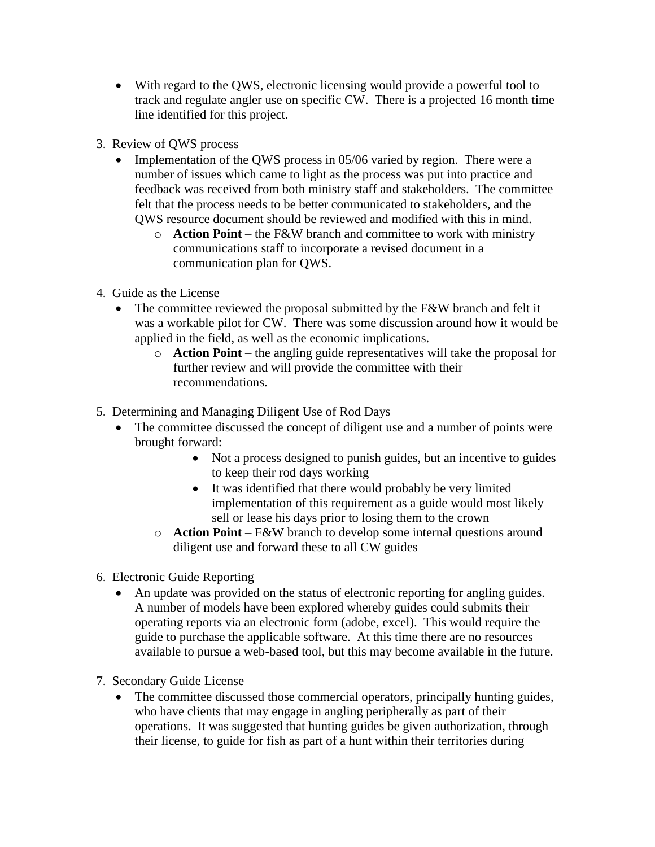- With regard to the QWS, electronic licensing would provide a powerful tool to track and regulate angler use on specific CW. There is a projected 16 month time line identified for this project.
- 3. Review of QWS process
	- Implementation of the QWS process in 05/06 varied by region. There were a number of issues which came to light as the process was put into practice and feedback was received from both ministry staff and stakeholders. The committee felt that the process needs to be better communicated to stakeholders, and the QWS resource document should be reviewed and modified with this in mind.
		- o **Action Point** the F&W branch and committee to work with ministry communications staff to incorporate a revised document in a communication plan for QWS.
- 4. Guide as the License
	- The committee reviewed the proposal submitted by the F&W branch and felt it was a workable pilot for CW. There was some discussion around how it would be applied in the field, as well as the economic implications.
		- o **Action Point** the angling guide representatives will take the proposal for further review and will provide the committee with their recommendations.
- 5. Determining and Managing Diligent Use of Rod Days
	- The committee discussed the concept of diligent use and a number of points were brought forward:
		- Not a process designed to punish guides, but an incentive to guides to keep their rod days working
		- It was identified that there would probably be very limited implementation of this requirement as a guide would most likely sell or lease his days prior to losing them to the crown
		- o **Action Point** F&W branch to develop some internal questions around diligent use and forward these to all CW guides
- 6. Electronic Guide Reporting
	- An update was provided on the status of electronic reporting for angling guides. A number of models have been explored whereby guides could submits their operating reports via an electronic form (adobe, excel). This would require the guide to purchase the applicable software. At this time there are no resources available to pursue a web-based tool, but this may become available in the future.
- 7. Secondary Guide License
	- The committee discussed those commercial operators, principally hunting guides, who have clients that may engage in angling peripherally as part of their operations. It was suggested that hunting guides be given authorization, through their license, to guide for fish as part of a hunt within their territories during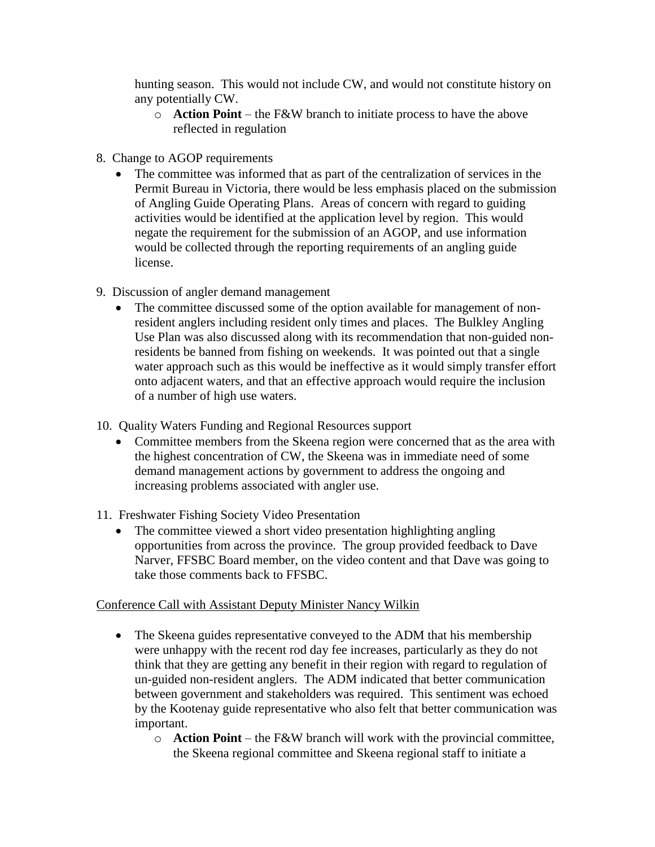hunting season. This would not include CW, and would not constitute history on any potentially CW.

- o **Action Point** the F&W branch to initiate process to have the above reflected in regulation
- 8. Change to AGOP requirements
	- The committee was informed that as part of the centralization of services in the Permit Bureau in Victoria, there would be less emphasis placed on the submission of Angling Guide Operating Plans. Areas of concern with regard to guiding activities would be identified at the application level by region. This would negate the requirement for the submission of an AGOP, and use information would be collected through the reporting requirements of an angling guide license.
- 9. Discussion of angler demand management
	- The committee discussed some of the option available for management of nonresident anglers including resident only times and places. The Bulkley Angling Use Plan was also discussed along with its recommendation that non-guided nonresidents be banned from fishing on weekends. It was pointed out that a single water approach such as this would be ineffective as it would simply transfer effort onto adjacent waters, and that an effective approach would require the inclusion of a number of high use waters.
- 10. Quality Waters Funding and Regional Resources support
	- Committee members from the Skeena region were concerned that as the area with the highest concentration of CW, the Skeena was in immediate need of some demand management actions by government to address the ongoing and increasing problems associated with angler use.
- 11. Freshwater Fishing Society Video Presentation
	- The committee viewed a short video presentation highlighting angling opportunities from across the province. The group provided feedback to Dave Narver, FFSBC Board member, on the video content and that Dave was going to take those comments back to FFSBC.

## Conference Call with Assistant Deputy Minister Nancy Wilkin

- The Skeena guides representative conveyed to the ADM that his membership were unhappy with the recent rod day fee increases, particularly as they do not think that they are getting any benefit in their region with regard to regulation of un-guided non-resident anglers. The ADM indicated that better communication between government and stakeholders was required. This sentiment was echoed by the Kootenay guide representative who also felt that better communication was important.
	- o **Action Point** the F&W branch will work with the provincial committee, the Skeena regional committee and Skeena regional staff to initiate a